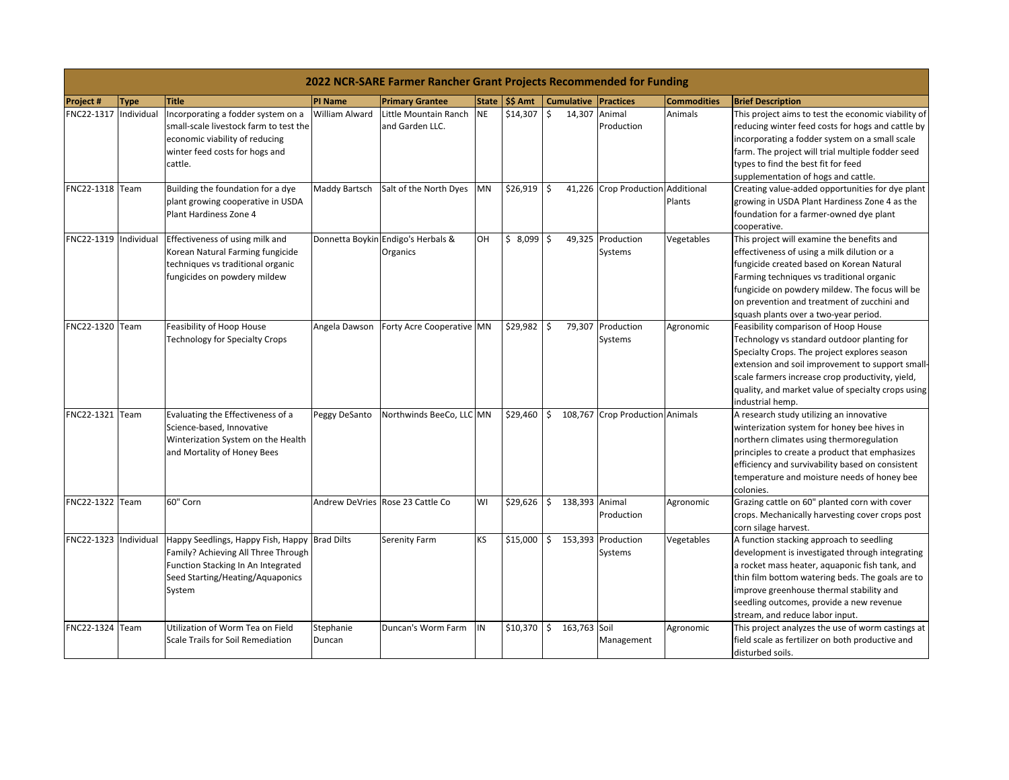|                       | 2022 NCR-SARE Farmer Rancher Grant Projects Recommended for Funding |                                                                                                                                                                          |                      |                                                |           |                            |                   |         |                                   |                    |                                                                                                                                                                                                                                                                                                                               |  |
|-----------------------|---------------------------------------------------------------------|--------------------------------------------------------------------------------------------------------------------------------------------------------------------------|----------------------|------------------------------------------------|-----------|----------------------------|-------------------|---------|-----------------------------------|--------------------|-------------------------------------------------------------------------------------------------------------------------------------------------------------------------------------------------------------------------------------------------------------------------------------------------------------------------------|--|
| <b>Project#</b>       | <b>Type</b>                                                         | <b>Title</b>                                                                                                                                                             | <b>PI Name</b>       | <b>Primary Grantee</b>                         |           | State $\frac{1}{5}$ \$ Amt | <b>Cumulative</b> |         | <b>Practices</b>                  | <b>Commodities</b> | <b>Brief Description</b>                                                                                                                                                                                                                                                                                                      |  |
| FNC22-1317            | Individual                                                          | Incorporating a fodder system on a<br>small-scale livestock farm to test the<br>economic viability of reducing<br>winter feed costs for hogs and<br>cattle.              | William Alward       | Little Mountain Ranch<br>and Garden LLC.       | <b>NE</b> | \$14,307                   | \$                | 14,307  | Animal<br>Production              | Animals            | This project aims to test the economic viability of<br>reducing winter feed costs for hogs and cattle by<br>incorporating a fodder system on a small scale<br>farm. The project will trial multiple fodder seed<br>types to find the best fit for feed<br>supplementation of hogs and cattle.                                 |  |
| FNC22-1318 Team       |                                                                     | Building the foundation for a dye<br>plant growing cooperative in USDA<br>Plant Hardiness Zone 4                                                                         | <b>Maddy Bartsch</b> | Salt of the North Dyes                         | MN        | \$26,919                   | \$                |         | 41,226 Crop Production Additional | Plants             | Creating value-added opportunities for dye plant<br>growing in USDA Plant Hardiness Zone 4 as the<br>foundation for a farmer-owned dye plant<br>cooperative.                                                                                                                                                                  |  |
| FNC22-1319 Individual |                                                                     | Effectiveness of using milk and<br>Korean Natural Farming fungicide<br>techniques vs traditional organic<br>fungicides on powdery mildew                                 |                      | Donnetta Boykin Endigo's Herbals &<br>Organics | OН        | \$8,099                    | l \$              | 49,325  | Production<br>Systems             | Vegetables         | This project will examine the benefits and<br>effectiveness of using a milk dilution or a<br>fungicide created based on Korean Natural<br>Farming techniques vs traditional organic<br>fungicide on powdery mildew. The focus will be<br>on prevention and treatment of zucchini and<br>squash plants over a two-year period. |  |
| FNC22-1320 Team       |                                                                     | Feasibility of Hoop House<br>Technology for Specialty Crops                                                                                                              | Angela Dawson        | Forty Acre Cooperative MN                      |           | \$29,982                   | \$                | 79,307  | Production<br>Systems             | Agronomic          | Feasibility comparison of Hoop House<br>Technology vs standard outdoor planting for<br>Specialty Crops. The project explores season<br>extension and soil improvement to support small-<br>scale farmers increase crop productivity, yield,<br>quality, and market value of specialty crops using<br>industrial hemp.         |  |
| FNC22-1321 Team       |                                                                     | Evaluating the Effectiveness of a<br>Science-based, Innovative<br>Winterization System on the Health<br>and Mortality of Honey Bees                                      | Peggy DeSanto        | Northwinds BeeCo, LLC MN                       |           | \$29,460                   | \$                | 108,767 | <b>Crop Production Animals</b>    |                    | A research study utilizing an innovative<br>winterization system for honey bee hives in<br>northern climates using thermoregulation<br>principles to create a product that emphasizes<br>efficiency and survivability based on consistent<br>temperature and moisture needs of honey bee<br>colonies.                         |  |
| FNC22-1322 Team       |                                                                     | 60" Corn                                                                                                                                                                 |                      | Andrew DeVries Rose 23 Cattle Co               | WI        | \$29,626                   | $\mathsf{S}$      |         | 138,393 Animal<br>Production      | Agronomic          | Grazing cattle on 60" planted corn with cover<br>crops. Mechanically harvesting cover crops post<br>corn silage harvest.                                                                                                                                                                                                      |  |
| FNC22-1323 Individual |                                                                     | Happy Seedlings, Happy Fish, Happy Brad Dilts<br>Family? Achieving All Three Through<br>Function Stacking In An Integrated<br>Seed Starting/Heating/Aquaponics<br>System |                      | Serenity Farm                                  | KS        | \$15,000                   | \$                |         | 153,393 Production<br>Systems     | Vegetables         | A function stacking approach to seedling<br>development is investigated through integrating<br>a rocket mass heater, aquaponic fish tank, and<br>thin film bottom watering beds. The goals are to<br>improve greenhouse thermal stability and<br>seedling outcomes, provide a new revenue<br>stream, and reduce labor input.  |  |
| FNC22-1324 Team       |                                                                     | Utilization of Worm Tea on Field<br>Scale Trails for Soil Remediation                                                                                                    | Stephanie<br>Duncan  | Duncan's Worm Farm                             | IN        | \$10,370                   | $$163,763$ Soil   |         | Management                        | Agronomic          | This project analyzes the use of worm castings at<br>field scale as fertilizer on both productive and<br>disturbed soils.                                                                                                                                                                                                     |  |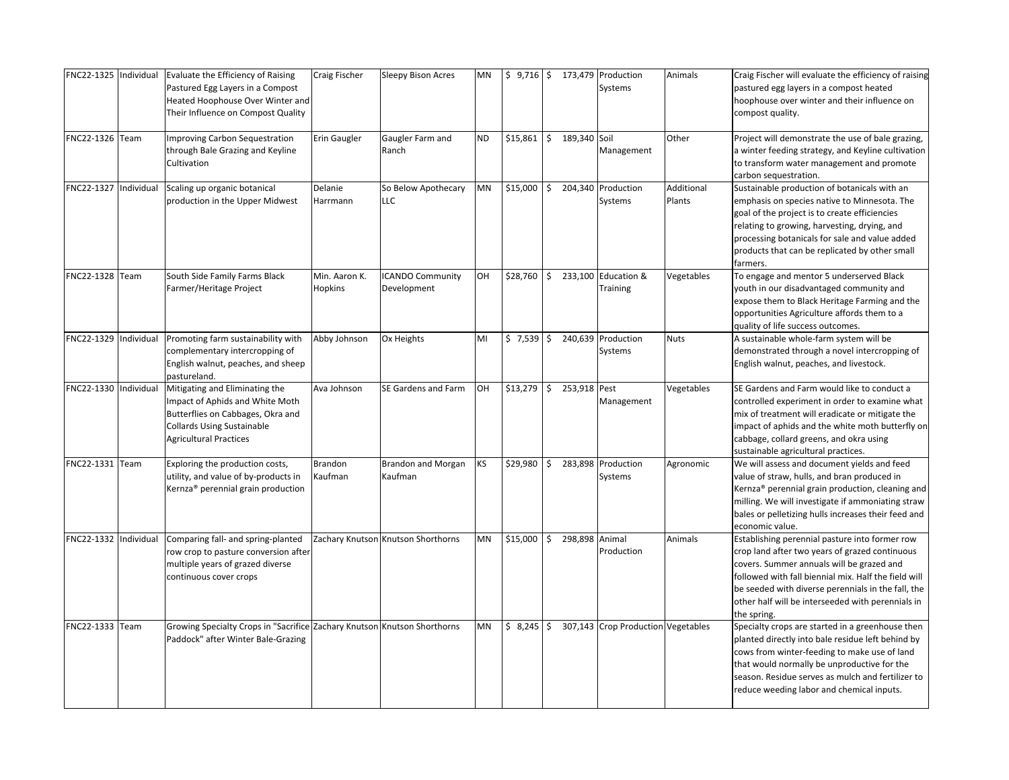| FNC22-1325 Individual |           | Evaluate the Efficiency of Raising<br>Pastured Egg Layers in a Compost<br>Heated Hoophouse Over Winter and<br>Their Influence on Compost Quality                             | Craig Fischer                   | <b>Sleepy Bison Acres</b>              | ΜN |             |           |              | \$ 9,716   \$ 173,479 Production<br>Systems | Animals              | Craig Fischer will evaluate the efficiency of raising<br>pastured egg layers in a compost heated<br>hoophouse over winter and their influence on<br>compost quality.                                                                                                                                                            |
|-----------------------|-----------|------------------------------------------------------------------------------------------------------------------------------------------------------------------------------|---------------------------------|----------------------------------------|----|-------------|-----------|--------------|---------------------------------------------|----------------------|---------------------------------------------------------------------------------------------------------------------------------------------------------------------------------------------------------------------------------------------------------------------------------------------------------------------------------|
| FNC22-1326 Team       |           | <b>Improving Carbon Sequestration</b><br>through Bale Grazing and Keyline<br>Cultivation                                                                                     | <b>Erin Gaugler</b>             | Gaugler Farm and<br>Ranch              | ND | \$15,861    | Ŝ.        | 189,340 Soil | Management                                  | Other                | Project will demonstrate the use of bale grazing,<br>a winter feeding strategy, and Keyline cultivation<br>to transform water management and promote<br>carbon sequestration.                                                                                                                                                   |
| FNC22-1327            | ndividual | Scaling up organic botanical<br>production in the Upper Midwest                                                                                                              | Delanie<br>Harrmann             | So Below Apothecary<br><b>LLC</b>      | ΜN | \$15,000    | \$        |              | 204,340 Production<br>Systems               | Additional<br>Plants | Sustainable production of botanicals with an<br>emphasis on species native to Minnesota. The<br>goal of the project is to create efficiencies<br>relating to growing, harvesting, drying, and<br>processing botanicals for sale and value added<br>products that can be replicated by other small<br>farmers.                   |
| FNC22-1328 Team       |           | South Side Family Farms Black<br>Farmer/Heritage Project                                                                                                                     | Min. Aaron K.<br><b>Hopkins</b> | <b>ICANDO Community</b><br>Development | OН | \$28,760    | \$        |              | 233,100 Education &<br>Training             | Vegetables           | To engage and mentor 5 underserved Black<br>youth in our disadvantaged community and<br>expose them to Black Heritage Farming and the<br>opportunities Agriculture affords them to a<br>quality of life success outcomes.                                                                                                       |
| FNC22-1329            | ndividual | Promoting farm sustainability with<br>complementary intercropping of<br>English walnut, peaches, and sheep<br>pastureland.                                                   | Abby Johnson                    | Ox Heights                             | MI | $$7,539$ \$ |           | 240,639      | Production<br>Systems                       | <b>Nuts</b>          | A sustainable whole-farm system will be<br>demonstrated through a novel intercropping of<br>English walnut, peaches, and livestock.                                                                                                                                                                                             |
| FNC22-1330 Individual |           | Mitigating and Eliminating the<br>Impact of Aphids and White Moth<br>Butterflies on Cabbages, Okra and<br><b>Collards Using Sustainable</b><br><b>Agricultural Practices</b> | Ava Johnson                     | SE Gardens and Farm                    | OH | \$13,279    | \$        | 253,918 Pest | Management                                  | Vegetables           | SE Gardens and Farm would like to conduct a<br>controlled experiment in order to examine what<br>mix of treatment will eradicate or mitigate the<br>impact of aphids and the white moth butterfly on<br>cabbage, collard greens, and okra using<br>sustainable agricultural practices.                                          |
| FNC22-1331 Team       |           | Exploring the production costs,<br>utility, and value of by-products in<br>Kernza <sup>®</sup> perennial grain production                                                    | Brandon<br>Kaufman              | <b>Brandon and Morgan</b><br>Kaufman   | ΚS | \$29,980    | Ś         |              | 283,898 Production<br>Systems               | Agronomic            | We will assess and document yields and feed<br>value of straw, hulls, and bran produced in<br>Kernza <sup>®</sup> perennial grain production, cleaning and<br>milling. We will investigate if ammoniating straw<br>bales or pelletizing hulls increases their feed and<br>economic value.                                       |
| FNC22-1332            | ndividual | Comparing fall- and spring-planted<br>row crop to pasture conversion after<br>multiple years of grazed diverse<br>continuous cover crops                                     |                                 | Zachary Knutson Knutson Shorthorns     | ΜN | \$15,000    | <b>\$</b> | 298,898      | Animal<br>Production                        | Animals              | Establishing perennial pasture into former row<br>crop land after two years of grazed continuous<br>covers. Summer annuals will be grazed and<br>followed with fall biennial mix. Half the field will<br>be seeded with diverse perennials in the fall, the<br>other half will be interseeded with perennials in<br>the spring. |
| FNC22-1333 Team       |           | Growing Specialty Crops in "Sacrifice Zachary Knutson Knutson Shorthorns<br>Paddock" after Winter Bale-Grazing                                                               |                                 |                                        | MN | \$8,245     | \$        |              | 307,143 Crop Production Vegetables          |                      | Specialty crops are started in a greenhouse then<br>planted directly into bale residue left behind by<br>cows from winter-feeding to make use of land<br>that would normally be unproductive for the<br>season. Residue serves as mulch and fertilizer to<br>reduce weeding labor and chemical inputs.                          |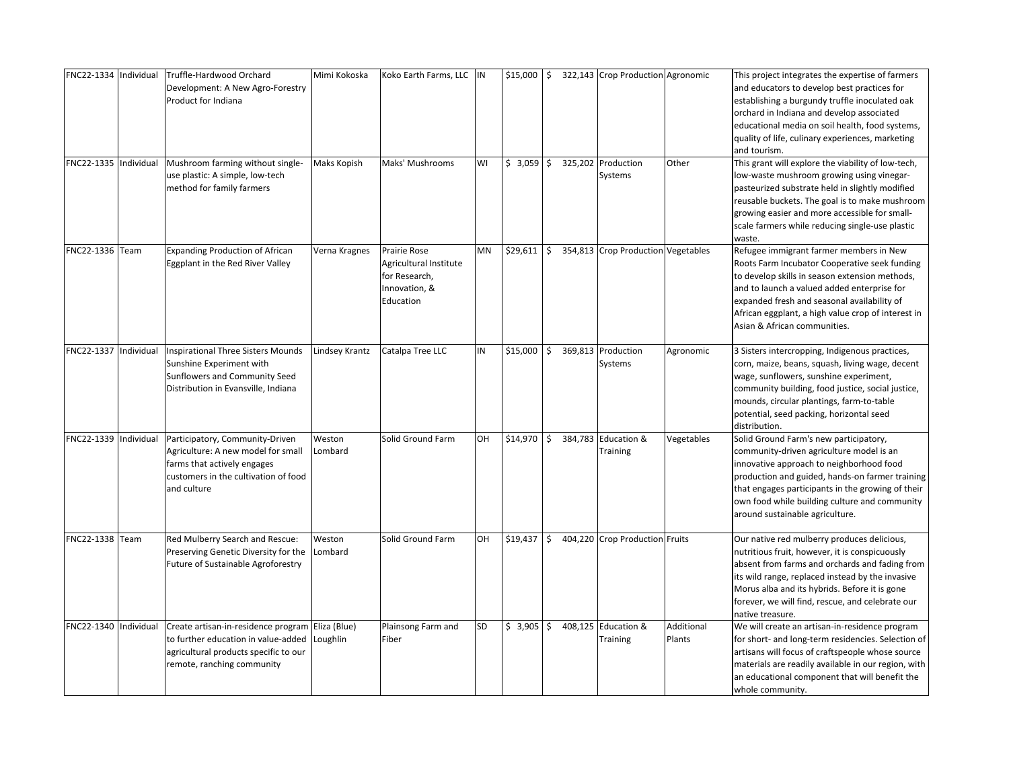| FNC22-1334 Individual<br>FNC22-1335 | Individual | Truffle-Hardwood Orchard<br>Development: A New Agro-Forestry<br>Product for Indiana<br>Mushroom farming without single-                                        | Mimi Kokoska<br>Maks Kopish | Koko Earth Farms, LLC  IN<br>Maks' Mushrooms                                          | WI | $$15,000$ \$<br>$$3,059$ \$ |     |         | 322,143 Crop Production Agronomic<br>325,202 Production | Other                | This project integrates the expertise of farmers<br>and educators to develop best practices for<br>establishing a burgundy truffle inoculated oak<br>orchard in Indiana and develop associated<br>educational media on soil health, food systems,<br>quality of life, culinary experiences, marketing<br>and tourism.<br>This grant will explore the viability of low-tech, |
|-------------------------------------|------------|----------------------------------------------------------------------------------------------------------------------------------------------------------------|-----------------------------|---------------------------------------------------------------------------------------|----|-----------------------------|-----|---------|---------------------------------------------------------|----------------------|-----------------------------------------------------------------------------------------------------------------------------------------------------------------------------------------------------------------------------------------------------------------------------------------------------------------------------------------------------------------------------|
|                                     |            | use plastic: A simple, low-tech<br>method for family farmers                                                                                                   |                             |                                                                                       |    |                             |     |         | Systems                                                 |                      | low-waste mushroom growing using vinegar-<br>pasteurized substrate held in slightly modified<br>reusable buckets. The goal is to make mushroom<br>growing easier and more accessible for small-<br>scale farmers while reducing single-use plastic<br>waste.                                                                                                                |
| FNC22-1336 Team                     |            | <b>Expanding Production of African</b><br>Eggplant in the Red River Valley                                                                                     | Verna Kragnes               | Prairie Rose<br>Agricultural Institute<br>for Research,<br>Innovation, &<br>Education | MN | \$29,611                    | I\$ |         | 354,813 Crop Production Vegetables                      |                      | Refugee immigrant farmer members in New<br>Roots Farm Incubator Cooperative seek funding<br>to develop skills in season extension methods,<br>and to launch a valued added enterprise for<br>expanded fresh and seasonal availability of<br>African eggplant, a high value crop of interest in<br>Asian & African communities.                                              |
| FNC22-1337 Individual               |            | Inspirational Three Sisters Mounds<br>Sunshine Experiment with<br>Sunflowers and Community Seed<br>Distribution in Evansville, Indiana                         | Lindsey Krantz              | Catalpa Tree LLC                                                                      | IN | \$15,000                    | \$  |         | 369,813 Production<br>Systems                           | Agronomic            | 3 Sisters intercropping, Indigenous practices,<br>corn, maize, beans, squash, living wage, decent<br>wage, sunflowers, sunshine experiment,<br>community building, food justice, social justice,<br>mounds, circular plantings, farm-to-table<br>potential, seed packing, horizontal seed<br>distribution.                                                                  |
| FNC22-1339                          | Individual | Participatory, Community-Driven<br>Agriculture: A new model for small<br>farms that actively engages<br>customers in the cultivation of food<br>and culture    | Weston<br>Lombard           | Solid Ground Farm                                                                     | OН | \$14,970                    | \$  | 384,783 | Education &<br>Training                                 | Vegetables           | Solid Ground Farm's new participatory,<br>community-driven agriculture model is an<br>innovative approach to neighborhood food<br>production and guided, hands-on farmer training<br>that engages participants in the growing of their<br>own food while building culture and community<br>around sustainable agriculture.                                                  |
| FNC22-1338                          | Team       | Red Mulberry Search and Rescue:<br>Preserving Genetic Diversity for the<br>Future of Sustainable Agroforestry                                                  | Weston<br>Lombard           | Solid Ground Farm                                                                     | OН | \$19,437                    | \$  |         | 404,220 Crop Production Fruits                          |                      | Our native red mulberry produces delicious,<br>nutritious fruit, however, it is conspicuously<br>absent from farms and orchards and fading from<br>its wild range, replaced instead by the invasive<br>Morus alba and its hybrids. Before it is gone<br>forever, we will find, rescue, and celebrate our<br>native treasure.                                                |
| FNC22-1340 Individual               |            | Create artisan-in-residence program Eliza (Blue)<br>to further education in value-added<br>agricultural products specific to our<br>remote, ranching community | Loughlin                    | Plainsong Farm and<br>Fiber                                                           | SD | $$3,905$ $$$                |     | 408,125 | Education &<br>Training                                 | Additional<br>Plants | We will create an artisan-in-residence program<br>for short- and long-term residencies. Selection of<br>artisans will focus of craftspeople whose source<br>materials are readily available in our region, with<br>an educational component that will benefit the<br>whole community.                                                                                       |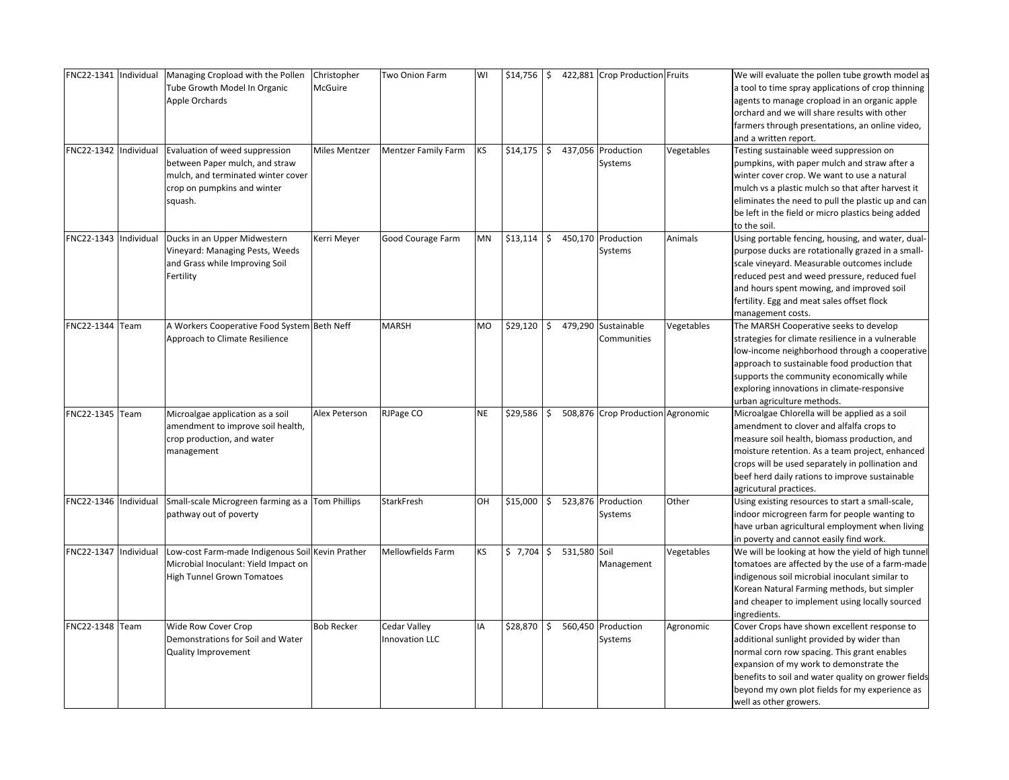| FNC22-1341 Individual |             | Managing Cropload with the Pollen                | Christopher          | Two Onion Farm           | W١        | \$14,756 | \$           |         | 422,881 Crop Production Fruits    |            | We will evaluate the pollen tube growth model as    |
|-----------------------|-------------|--------------------------------------------------|----------------------|--------------------------|-----------|----------|--------------|---------|-----------------------------------|------------|-----------------------------------------------------|
|                       |             | Tube Growth Model In Organic                     | <b>McGuire</b>       |                          |           |          |              |         |                                   |            | a tool to time spray applications of crop thinning  |
|                       |             | Apple Orchards                                   |                      |                          |           |          |              |         |                                   |            | agents to manage cropload in an organic apple       |
|                       |             |                                                  |                      |                          |           |          |              |         |                                   |            | orchard and we will share results with other        |
|                       |             |                                                  |                      |                          |           |          |              |         |                                   |            | farmers through presentations, an online video,     |
|                       |             |                                                  |                      |                          |           |          |              |         |                                   |            | and a written report.                               |
| FNC22-1342 Individual |             | Evaluation of weed suppression                   | <b>Miles Mentzer</b> | Mentzer Family Farm      | KS.       | \$14,175 | <b>S</b>     |         | 437,056 Production                | Vegetables | Testing sustainable weed suppression on             |
|                       |             | between Paper mulch, and straw                   |                      |                          |           |          |              |         | Systems                           |            | pumpkins, with paper mulch and straw after a        |
|                       |             | mulch, and terminated winter cover               |                      |                          |           |          |              |         |                                   |            | winter cover crop. We want to use a natural         |
|                       |             | crop on pumpkins and winter                      |                      |                          |           |          |              |         |                                   |            | mulch vs a plastic mulch so that after harvest it   |
|                       |             | squash.                                          |                      |                          |           |          |              |         |                                   |            | eliminates the need to pull the plastic up and can  |
|                       |             |                                                  |                      |                          |           |          |              |         |                                   |            | be left in the field or micro plastics being added  |
|                       |             |                                                  |                      |                          |           |          |              |         |                                   |            | to the soil.                                        |
| FNC22-1343            | ndividual   | Ducks in an Upper Midwestern                     | Kerri Meyer          | Good Courage Farm        | ΜN        | \$13,114 | $\mathsf{S}$ |         | 450,170 Production                | Animals    | Using portable fencing, housing, and water, dual-   |
|                       |             | Vineyard: Managing Pests, Weeds                  |                      |                          |           |          |              |         | Systems                           |            | purpose ducks are rotationally grazed in a small-   |
|                       |             | and Grass while Improving Soil                   |                      |                          |           |          |              |         |                                   |            | scale vineyard. Measurable outcomes include         |
|                       |             | Fertility                                        |                      |                          |           |          |              |         |                                   |            | reduced pest and weed pressure, reduced fuel        |
|                       |             |                                                  |                      |                          |           |          |              |         |                                   |            | and hours spent mowing, and improved soil           |
|                       |             |                                                  |                      |                          |           |          |              |         |                                   |            | fertility. Egg and meat sales offset flock          |
|                       |             |                                                  |                      |                          |           |          |              |         |                                   |            | management costs.                                   |
| FNC22-1344            | <b>Team</b> | A Workers Cooperative Food System Beth Neff      |                      | <b>MARSH</b>             | MO        | \$29,120 | Ś.           |         | 479,290 Sustainable               | Vegetables | The MARSH Cooperative seeks to develop              |
|                       |             | Approach to Climate Resilience                   |                      |                          |           |          |              |         | Communities                       |            | strategies for climate resilience in a vulnerable   |
|                       |             |                                                  |                      |                          |           |          |              |         |                                   |            | low-income neighborhood through a cooperative       |
|                       |             |                                                  |                      |                          |           |          |              |         |                                   |            | approach to sustainable food production that        |
|                       |             |                                                  |                      |                          |           |          |              |         |                                   |            | supports the community economically while           |
|                       |             |                                                  |                      |                          |           |          |              |         |                                   |            | exploring innovations in climate-responsive         |
|                       |             |                                                  |                      |                          |           |          |              |         |                                   |            | urban agriculture methods.                          |
| FNC22-1345 Team       |             | Microalgae application as a soil                 | Alex Peterson        | RJPage CO                | <b>NE</b> | \$29,586 | Ś.           |         | 508,876 Crop Production Agronomic |            | Microalgae Chlorella will be applied as a soil      |
|                       |             | amendment to improve soil health,                |                      |                          |           |          |              |         |                                   |            | amendment to clover and alfalfa crops to            |
|                       |             | crop production, and water                       |                      |                          |           |          |              |         |                                   |            | measure soil health, biomass production, and        |
|                       |             | management                                       |                      |                          |           |          |              |         |                                   |            | moisture retention. As a team project, enhanced     |
|                       |             |                                                  |                      |                          |           |          |              |         |                                   |            | crops will be used separately in pollination and    |
|                       |             |                                                  |                      |                          |           |          |              |         |                                   |            | beef herd daily rations to improve sustainable      |
|                       |             |                                                  |                      |                          |           |          |              |         |                                   |            | agricutural practices.                              |
| FNC22-1346 Individual |             | Small-scale Microgreen farming as a Tom Phillips |                      | <b>StarkFresh</b>        | OН        | \$15,000 | \$           |         | 523,876 Production                | Other      | Using existing resources to start a small-scale,    |
|                       |             | pathway out of poverty                           |                      |                          |           |          |              |         | Systems                           |            | indoor microgreen farm for people wanting to        |
|                       |             |                                                  |                      |                          |           |          |              |         |                                   |            | have urban agricultural employment when living      |
|                       |             |                                                  |                      |                          |           |          |              |         |                                   |            | in poverty and cannot easily find work.             |
| FNC22-1347            | ndividual   | Low-cost Farm-made Indigenous Soil Kevin Prather |                      | <b>Mellowfields Farm</b> | KS.       | \$7,704  | \$           | 531,580 | Soil                              | Vegetables | We will be looking at how the yield of high tunnel  |
|                       |             | Microbial Inoculant: Yield Impact on             |                      |                          |           |          |              |         | Management                        |            | tomatoes are affected by the use of a farm-made     |
|                       |             | <b>High Tunnel Grown Tomatoes</b>                |                      |                          |           |          |              |         |                                   |            | indigenous soil microbial inoculant similar to      |
|                       |             |                                                  |                      |                          |           |          |              |         |                                   |            | Korean Natural Farming methods, but simpler         |
|                       |             |                                                  |                      |                          |           |          |              |         |                                   |            | and cheaper to implement using locally sourced      |
|                       |             |                                                  |                      |                          |           |          |              |         |                                   |            | ingredients.                                        |
| FNC22-1348 Team       |             | Wide Row Cover Crop                              | <b>Bob Recker</b>    | Cedar Valley             | IA        | \$28,870 | \$           |         | 560,450 Production                | Agronomic  | Cover Crops have shown excellent response to        |
|                       |             | Demonstrations for Soil and Water                |                      | <b>Innovation LLC</b>    |           |          |              |         | Systems                           |            | additional sunlight provided by wider than          |
|                       |             | <b>Quality Improvement</b>                       |                      |                          |           |          |              |         |                                   |            | normal corn row spacing. This grant enables         |
|                       |             |                                                  |                      |                          |           |          |              |         |                                   |            | expansion of my work to demonstrate the             |
|                       |             |                                                  |                      |                          |           |          |              |         |                                   |            | benefits to soil and water quality on grower fields |
|                       |             |                                                  |                      |                          |           |          |              |         |                                   |            | beyond my own plot fields for my experience as      |
|                       |             |                                                  |                      |                          |           |          |              |         |                                   |            | well as other growers.                              |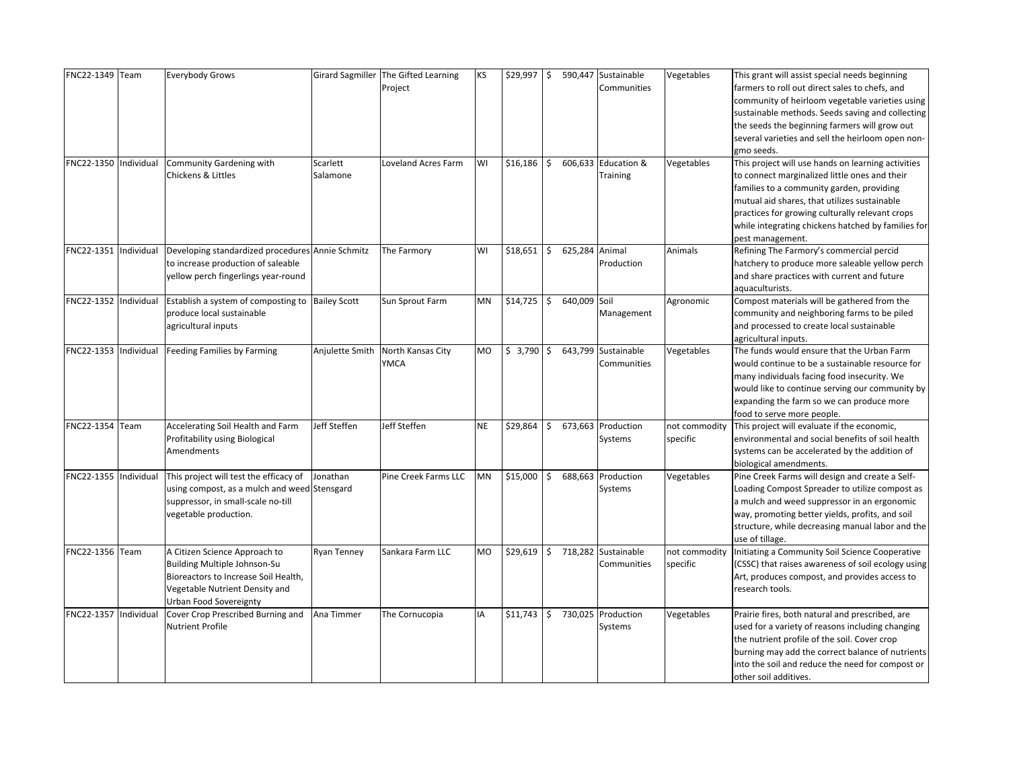| FNC22-1349 Team       |            | <b>Everybody Grows</b>                           |                     | Girard Sagmiller The Gifted Learning | <b>KS</b> | \$29,997     | \$ |                | 590,447 Sustainable | Vegetables    | This grant will assist special needs beginning     |
|-----------------------|------------|--------------------------------------------------|---------------------|--------------------------------------|-----------|--------------|----|----------------|---------------------|---------------|----------------------------------------------------|
|                       |            |                                                  |                     | Project                              |           |              |    |                | Communities         |               | farmers to roll out direct sales to chefs, and     |
|                       |            |                                                  |                     |                                      |           |              |    |                |                     |               | community of heirloom vegetable varieties using    |
|                       |            |                                                  |                     |                                      |           |              |    |                |                     |               | sustainable methods. Seeds saving and collecting   |
|                       |            |                                                  |                     |                                      |           |              |    |                |                     |               | the seeds the beginning farmers will grow out      |
|                       |            |                                                  |                     |                                      |           |              |    |                |                     |               | several varieties and sell the heirloom open non-  |
|                       |            |                                                  |                     |                                      |           |              |    |                |                     |               | gmo seeds.                                         |
| FNC22-1350            | Individual | Community Gardening with                         | Scarlett            | Loveland Acres Farm                  | WI        | \$16,186     | \$ |                | 606,633 Education & | Vegetables    | This project will use hands on learning activities |
|                       |            | Chickens & Littles                               | Salamone            |                                      |           |              |    |                | Training            |               | to connect marginalized little ones and their      |
|                       |            |                                                  |                     |                                      |           |              |    |                |                     |               | families to a community garden, providing          |
|                       |            |                                                  |                     |                                      |           |              |    |                |                     |               | mutual aid shares, that utilizes sustainable       |
|                       |            |                                                  |                     |                                      |           |              |    |                |                     |               | practices for growing culturally relevant crops    |
|                       |            |                                                  |                     |                                      |           |              |    |                |                     |               | while integrating chickens hatched by families for |
|                       |            |                                                  |                     |                                      |           |              |    |                |                     |               | pest management.                                   |
| FNC22-1351            | Individual | Developing standardized procedures Annie Schmitz |                     | The Farmory                          | WI        | \$18,651     | \$ | 625,284 Animal |                     | Animals       | Refining The Farmory's commercial percid           |
|                       |            | to increase production of saleable               |                     |                                      |           |              |    |                | Production          |               | hatchery to produce more saleable yellow perch     |
|                       |            | yellow perch fingerlings year-round              |                     |                                      |           |              |    |                |                     |               | and share practices with current and future        |
|                       |            |                                                  |                     |                                      |           |              |    |                |                     |               | aquaculturists.                                    |
| FNC22-1352            | Individual | Establish a system of composting to              | <b>Bailey Scott</b> | Sun Sprout Farm                      | <b>MN</b> | \$14,725     | Ŝ. | 640,009 Soil   |                     | Agronomic     | Compost materials will be gathered from the        |
|                       |            | produce local sustainable                        |                     |                                      |           |              |    |                | Management          |               | community and neighboring farms to be piled        |
|                       |            | agricultural inputs                              |                     |                                      |           |              |    |                |                     |               | and processed to create local sustainable          |
|                       |            |                                                  |                     |                                      |           |              |    |                |                     |               | agricultural inputs.                               |
| FNC22-1353            | ndividual  | Feeding Families by Farming                      | Anjulette Smith     | North Kansas City                    | <b>MO</b> | \$3,790      | \$ | 643,799        | Sustainable         | Vegetables    | The funds would ensure that the Urban Farm         |
|                       |            |                                                  |                     | YMCA                                 |           |              |    |                | Communities         |               | would continue to be a sustainable resource for    |
|                       |            |                                                  |                     |                                      |           |              |    |                |                     |               | many individuals facing food insecurity. We        |
|                       |            |                                                  |                     |                                      |           |              |    |                |                     |               | would like to continue serving our community by    |
|                       |            |                                                  |                     |                                      |           |              |    |                |                     |               | expanding the farm so we can produce more          |
|                       |            |                                                  |                     |                                      |           |              |    |                |                     |               | food to serve more people.                         |
| FNC22-1354            | Team       | Accelerating Soil Health and Farm                | Jeff Steffen        | Jeff Steffen                         | <b>NE</b> | \$29,864     | \$ |                | 673,663 Production  | not commodity | This project will evaluate if the economic,        |
|                       |            | Profitability using Biological                   |                     |                                      |           |              |    |                | Systems             | specific      | environmental and social benefits of soil health   |
|                       |            | Amendments                                       |                     |                                      |           |              |    |                |                     |               | systems can be accelerated by the addition of      |
|                       |            |                                                  |                     |                                      |           |              |    |                |                     |               | biological amendments.                             |
| FNC22-1355 Individual |            | This project will test the efficacy of           | Jonathan            | Pine Creek Farms LLC                 | <b>MN</b> | \$15,000     | Ŝ. |                | 688,663 Production  | Vegetables    | Pine Creek Farms will design and create a Self-    |
|                       |            | using compost, as a mulch and weed Stensgard     |                     |                                      |           |              |    |                | Systems             |               | Loading Compost Spreader to utilize compost as     |
|                       |            | suppressor, in small-scale no-till               |                     |                                      |           |              |    |                |                     |               | a mulch and weed suppressor in an ergonomic        |
|                       |            | vegetable production.                            |                     |                                      |           |              |    |                |                     |               | way, promoting better yields, profits, and soil    |
|                       |            |                                                  |                     |                                      |           |              |    |                |                     |               | structure, while decreasing manual labor and the   |
|                       |            |                                                  |                     |                                      |           |              |    |                |                     |               | use of tillage.                                    |
| FNC22-1356 Team       |            | A Citizen Science Approach to                    | Ryan Tenney         | Sankara Farm LLC                     | <b>MO</b> | $$29,619$ \$ |    |                | 718,282 Sustainable | not commodity | Initiating a Community Soil Science Cooperative    |
|                       |            | Building Multiple Johnson-Su                     |                     |                                      |           |              |    |                | Communities         | specific      | (CSSC) that raises awareness of soil ecology using |
|                       |            | Bioreactors to Increase Soil Health,             |                     |                                      |           |              |    |                |                     |               | Art, produces compost, and provides access to      |
|                       |            | Vegetable Nutrient Density and                   |                     |                                      |           |              |    |                |                     |               | research tools.                                    |
|                       |            | Urban Food Sovereignty                           |                     |                                      |           |              |    |                |                     |               |                                                    |
| FNC22-1357            | ndividual  | Cover Crop Prescribed Burning and                | Ana Timmer          | The Cornucopia                       | IA        | \$11,743     | \$ |                | 730,025 Production  | Vegetables    | Prairie fires, both natural and prescribed, are    |
|                       |            | Nutrient Profile                                 |                     |                                      |           |              |    |                | Systems             |               | used for a variety of reasons including changing   |
|                       |            |                                                  |                     |                                      |           |              |    |                |                     |               | the nutrient profile of the soil. Cover crop       |
|                       |            |                                                  |                     |                                      |           |              |    |                |                     |               | burning may add the correct balance of nutrients   |
|                       |            |                                                  |                     |                                      |           |              |    |                |                     |               | into the soil and reduce the need for compost or   |
|                       |            |                                                  |                     |                                      |           |              |    |                |                     |               | other soil additives.                              |